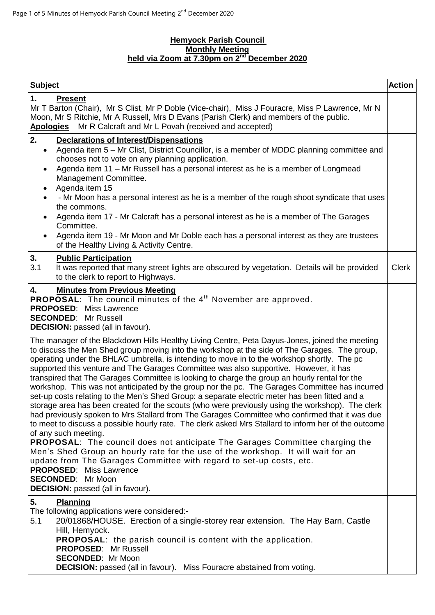### **Hemyock Parish Council Monthly Meeting held via Zoom at 7.30pm on 2<sup>nd</sup> December 2020**

| <b>Subject</b>                                                                                                                                                                                                                                                                                                                                                                                                                                                                                                                                                                                                                                                                                                                                                                                                                                                                                                                                                                                                                                                                                                                                                                                                                                                                                                                                                                                 | <b>Action</b> |
|------------------------------------------------------------------------------------------------------------------------------------------------------------------------------------------------------------------------------------------------------------------------------------------------------------------------------------------------------------------------------------------------------------------------------------------------------------------------------------------------------------------------------------------------------------------------------------------------------------------------------------------------------------------------------------------------------------------------------------------------------------------------------------------------------------------------------------------------------------------------------------------------------------------------------------------------------------------------------------------------------------------------------------------------------------------------------------------------------------------------------------------------------------------------------------------------------------------------------------------------------------------------------------------------------------------------------------------------------------------------------------------------|---------------|
| 1.<br><b>Present</b><br>Mr T Barton (Chair), Mr S Clist, Mr P Doble (Vice-chair), Miss J Fouracre, Miss P Lawrence, Mr N<br>Moon, Mr S Ritchie, Mr A Russell, Mrs D Evans (Parish Clerk) and members of the public.<br>Mr R Calcraft and Mr L Povah (received and accepted)<br><b>Apologies</b>                                                                                                                                                                                                                                                                                                                                                                                                                                                                                                                                                                                                                                                                                                                                                                                                                                                                                                                                                                                                                                                                                                |               |
| 2.<br><b>Declarations of Interest/Dispensations</b><br>Agenda item 5 – Mr Clist, District Councillor, is a member of MDDC planning committee and<br>$\bullet$<br>chooses not to vote on any planning application.<br>Agenda item 11 - Mr Russell has a personal interest as he is a member of Longmead<br>$\bullet$<br>Management Committee.<br>Agenda item 15<br>$\bullet$<br>- Mr Moon has a personal interest as he is a member of the rough shoot syndicate that uses<br>the commons.<br>Agenda item 17 - Mr Calcraft has a personal interest as he is a member of The Garages<br>Committee.<br>Agenda item 19 - Mr Moon and Mr Doble each has a personal interest as they are trustees<br>of the Healthy Living & Activity Centre.                                                                                                                                                                                                                                                                                                                                                                                                                                                                                                                                                                                                                                                        |               |
| 3.<br><b>Public Participation</b><br>3.1<br>It was reported that many street lights are obscured by vegetation. Details will be provided<br>to the clerk to report to Highways.                                                                                                                                                                                                                                                                                                                                                                                                                                                                                                                                                                                                                                                                                                                                                                                                                                                                                                                                                                                                                                                                                                                                                                                                                | <b>Clerk</b>  |
| 4.<br><b>Minutes from Previous Meeting</b><br><b>PROPOSAL:</b> The council minutes of the $4th$ November are approved.<br><b>PROPOSED:</b> Miss Lawrence<br><b>SECONDED: Mr Russell</b><br><b>DECISION:</b> passed (all in favour).                                                                                                                                                                                                                                                                                                                                                                                                                                                                                                                                                                                                                                                                                                                                                                                                                                                                                                                                                                                                                                                                                                                                                            |               |
| The manager of the Blackdown Hills Healthy Living Centre, Peta Dayus-Jones, joined the meeting<br>to discuss the Men Shed group moving into the workshop at the side of The Garages. The group,<br>operating under the BHLAC umbrella, is intending to move in to the workshop shortly. The pc<br>supported this venture and The Garages Committee was also supportive. However, it has<br>transpired that The Garages Committee is looking to charge the group an hourly rental for the<br>workshop. This was not anticipated by the group nor the pc. The Garages Committee has incurred<br>set-up costs relating to the Men's Shed Group: a separate electric meter has been fitted and a<br>storage area has been created for the scouts (who were previously using the workshop). The clerk<br>had previously spoken to Mrs Stallard from The Garages Committee who confirmed that it was due<br>to meet to discuss a possible hourly rate. The clerk asked Mrs Stallard to inform her of the outcome<br>of any such meeting.<br><b>PROPOSAL:</b> The council does not anticipate The Garages Committee charging the<br>Men's Shed Group an hourly rate for the use of the workshop. It will wait for an<br>update from The Garages Committee with regard to set-up costs, etc.<br><b>PROPOSED:</b> Miss Lawrence<br><b>SECONDED:</b> Mr Moon<br><b>DECISION:</b> passed (all in favour). |               |
| 5.<br><b>Planning</b><br>The following applications were considered:-<br>20/01868/HOUSE. Erection of a single-storey rear extension. The Hay Barn, Castle<br>5.1<br>Hill, Hemyock.<br><b>PROPOSAL:</b> the parish council is content with the application.<br><b>PROPOSED: Mr Russell</b><br><b>SECONDED: Mr Moon</b><br><b>DECISION:</b> passed (all in favour). Miss Fouracre abstained from voting.                                                                                                                                                                                                                                                                                                                                                                                                                                                                                                                                                                                                                                                                                                                                                                                                                                                                                                                                                                                         |               |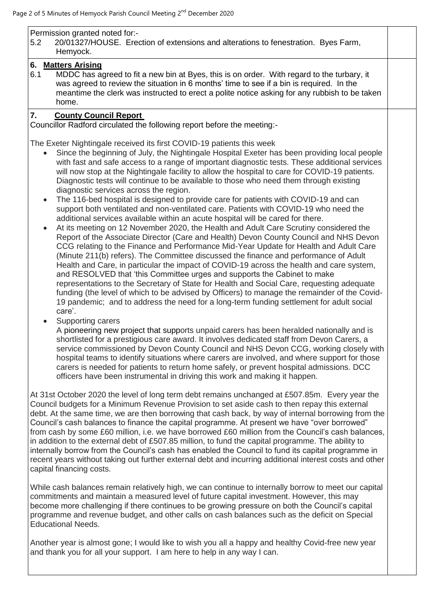## Permission granted noted for:-

5.2 20/01327/HOUSE. Erection of extensions and alterations to fenestration. Byes Farm, Hemyock.

#### **6. Matters Arising**

6.1 MDDC has agreed to fit a new bin at Byes, this is on order. With regard to the turbary, it was agreed to review the situation in 6 months' time to see if a bin is required. In the meantime the clerk was instructed to erect a polite notice asking for any rubbish to be taken home.

## **7. County Council Report**

Councillor Radford circulated the following report before the meeting:-

The Exeter Nightingale received its first COVID-19 patients this week

- Since the beginning of July, the Nightingale Hospital Exeter has been providing local people with fast and safe access to a range of important diagnostic tests. These additional services will now stop at the Nightingale facility to allow the hospital to care for COVID-19 patients. Diagnostic tests will continue to be available to those who need them through existing diagnostic services across the region.
- The 116-bed hospital is designed to provide care for patients with COVID-19 and can support both ventilated and non-ventilated care. Patients with COVID-19 who need the additional services available within an acute hospital will be cared for there.
- At its meeting on 12 November 2020, the Health and Adult Care Scrutiny considered the Report of the Associate Director (Care and Health) Devon County Council and NHS Devon CCG relating to the Finance and Performance Mid-Year Update for Health and Adult Care (Minute 211(b) refers). The Committee discussed the finance and performance of Adult Health and Care, in particular the impact of COVID-19 across the health and care system, and RESOLVED that 'this Committee urges and supports the Cabinet to make representations to the Secretary of State for Health and Social Care, requesting adequate funding (the level of which to be advised by Officers) to manage the remainder of the Covid-19 pandemic; and to address the need for a long-term funding settlement for adult social care'.
- Supporting carers

A [pioneering new project](https://www.devonnewscentre.info/support-to-devon-carers-is-recognised-nationally-its-already-a-winner-says-lead-councillor/) that supports unpaid carers has been heralded nationally and is shortlisted for a prestigious care award. It involves dedicated staff from Devon Carers, a service commissioned by Devon County Council and NHS Devon CCG, working closely with hospital teams to identify situations where carers are involved, and where support for those carers is needed for patients to return home safely, or prevent hospital admissions. DCC officers have been instrumental in driving this work and making it happen.

At 31st October 2020 the level of long term debt remains unchanged at £507.85m. Every year the Council budgets for a Minimum Revenue Provision to set aside cash to then repay this external debt. At the same time, we are then borrowing that cash back, by way of internal borrowing from the Council's cash balances to finance the capital programme. At present we have "over borrowed" from cash by some £60 million, i.e. we have borrowed £60 million from the Council's cash balances, in addition to the external debt of £507.85 million, to fund the capital programme. The ability to internally borrow from the Council's cash has enabled the Council to fund its capital programme in recent years without taking out further external debt and incurring additional interest costs and other capital financing costs.

While cash balances remain relatively high, we can continue to internally borrow to meet our capital commitments and maintain a measured level of future capital investment. However, this may become more challenging if there continues to be growing pressure on both the Council's capital programme and revenue budget, and other calls on cash balances such as the deficit on Special Educational Needs.

Another year is almost gone; I would like to wish you all a happy and healthy Covid-free new year and thank you for all your support. I am here to help in any way I can.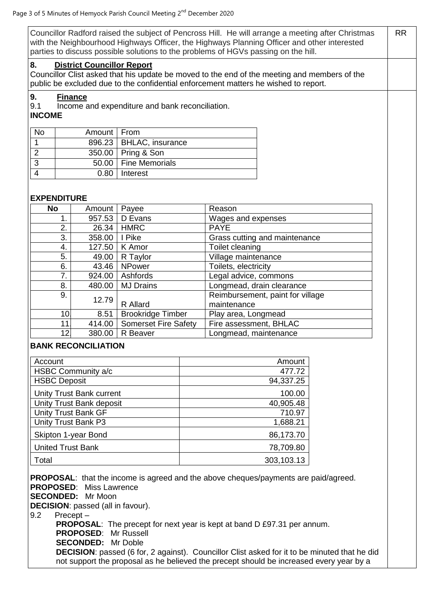Councillor Radford raised the subject of Pencross Hill. He will arrange a meeting after Christmas with the Neighbourhood Highways Officer, the Highways Planning Officer and other interested parties to discuss possible solutions to the problems of HGVs passing on the hill. RR

#### **8. District Councillor Report**

Councillor Clist asked that his update be moved to the end of the meeting and members of the public be excluded due to the confidential enforcement matters he wished to report.

## **9. Finance**

9.1 Income and expenditure and bank reconciliation.

**INCOME**

| <b>No</b> | Amount   From |                           |
|-----------|---------------|---------------------------|
|           |               | 896.23   BHLAC, insurance |
|           |               | 350.00   Pring & Son      |
|           |               | 50.00   Fine Memorials    |
|           | 0.80          | I Interest                |

## **EXPENDITURE**

| <b>No</b> | Amount   | Payee                       | Reason                           |
|-----------|----------|-----------------------------|----------------------------------|
| 1.        | 957.53   | D Evans                     | Wages and expenses               |
| 2.        | 26.34    | <b>HMRC</b>                 | <b>PAYE</b>                      |
| 3.        | 358.00   | I Pike                      | Grass cutting and maintenance    |
| 4.        | 127.50   | K Amor                      | Toilet cleaning                  |
| 5.        | 49.00    | R Taylor                    | Village maintenance              |
| 6.        | 43.46    | <b>NPower</b>               | Toilets, electricity             |
| 7.        | 924.00   | Ashfords                    | Legal advice, commons            |
| 8.        | 480.00   | <b>MJ Drains</b>            | Longmead, drain clearance        |
| 9.        | 12.79    |                             | Reimbursement, paint for village |
|           | R Allard | maintenance                 |                                  |
| 10.       | 8.51     | <b>Brookridge Timber</b>    | Play area, Longmead              |
| 11        | 414.00   | <b>Somerset Fire Safety</b> | Fire assessment, BHLAC           |
| 12.       | 380.00   | R Beaver                    | Longmead, maintenance            |

# **BANK RECONCILIATION**

| Account                         | Amount     |
|---------------------------------|------------|
| HSBC Community a/c              | 477.72     |
| <b>HSBC Deposit</b>             | 94,337.25  |
| <b>Unity Trust Bank current</b> | 100.00     |
| Unity Trust Bank deposit        | 40,905.48  |
| <b>Unity Trust Bank GF</b>      | 710.97     |
| Unity Trust Bank P3             | 1,688.21   |
| Skipton 1-year Bond             | 86,173.70  |
| <b>United Trust Bank</b>        | 78,709.80  |
| Total                           | 303,103.13 |

**PROPOSAL:** that the income is agreed and the above cheques/payments are paid/agreed. **PROPOSED**: Miss Lawrence **SECONDED:** Mr Moon

**DECISION**: passed (all in favour).

9.2 Precept –

**PROPOSAL:** The precept for next year is kept at band D £97.31 per annum. **PROPOSED**: Mr Russell **SECONDED:** Mr Doble **DECISION**: passed (6 for, 2 against). Councillor Clist asked for it to be minuted that he did not support the proposal as he believed the precept should be increased every year by a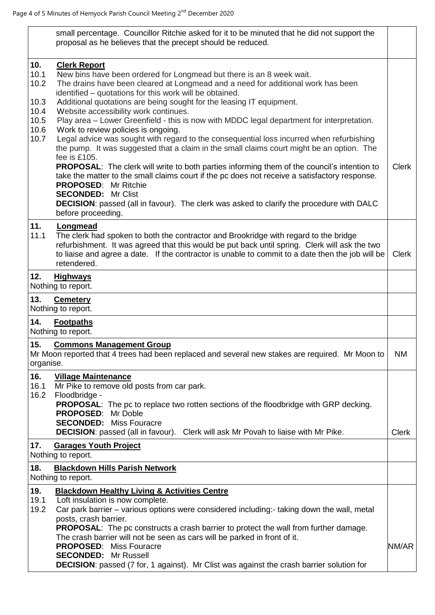|                                                             | small percentage. Councillor Ritchie asked for it to be minuted that he did not support the<br>proposal as he believes that the precept should be reduced.                                                                                                                                                                                                                                                                                                                                                                                                                                                                                                                                                                                                                                                                                                                                                                                                                                                                                                                                           |              |
|-------------------------------------------------------------|------------------------------------------------------------------------------------------------------------------------------------------------------------------------------------------------------------------------------------------------------------------------------------------------------------------------------------------------------------------------------------------------------------------------------------------------------------------------------------------------------------------------------------------------------------------------------------------------------------------------------------------------------------------------------------------------------------------------------------------------------------------------------------------------------------------------------------------------------------------------------------------------------------------------------------------------------------------------------------------------------------------------------------------------------------------------------------------------------|--------------|
| 10.<br>10.1<br>10.2<br>10.3<br>10.4<br>10.5<br>10.6<br>10.7 | <b>Clerk Report</b><br>New bins have been ordered for Longmead but there is an 8 week wait.<br>The drains have been cleared at Longmead and a need for additional work has been<br>identified - quotations for this work will be obtained.<br>Additional quotations are being sought for the leasing IT equipment.<br>Website accessibility work continues.<br>Play area - Lower Greenfield - this is now with MDDC legal department for interpretation.<br>Work to review policies is ongoing.<br>Legal advice was sought with regard to the consequential loss incurred when refurbishing<br>the pump. It was suggested that a claim in the small claims court might be an option. The<br>fee is £105.<br><b>PROPOSAL:</b> The clerk will write to both parties informing them of the council's intention to<br>take the matter to the small claims court if the pc does not receive a satisfactory response.<br><b>PROPOSED:</b> Mr Ritchie<br><b>SECONDED: Mr Clist</b><br><b>DECISION:</b> passed (all in favour). The clerk was asked to clarify the procedure with DALC<br>before proceeding. | <b>Clerk</b> |
| 11.<br>11.1                                                 | Longmead<br>The clerk had spoken to both the contractor and Brookridge with regard to the bridge<br>refurbishment. It was agreed that this would be put back until spring. Clerk will ask the two<br>to liaise and agree a date. If the contractor is unable to commit to a date then the job will be<br>retendered.                                                                                                                                                                                                                                                                                                                                                                                                                                                                                                                                                                                                                                                                                                                                                                                 | <b>Clerk</b> |
| 12.                                                         | <b>Highways</b><br>Nothing to report.                                                                                                                                                                                                                                                                                                                                                                                                                                                                                                                                                                                                                                                                                                                                                                                                                                                                                                                                                                                                                                                                |              |
| 13.                                                         | <b>Cemetery</b>                                                                                                                                                                                                                                                                                                                                                                                                                                                                                                                                                                                                                                                                                                                                                                                                                                                                                                                                                                                                                                                                                      |              |
| 14.                                                         | Nothing to report.<br><b>Footpaths</b>                                                                                                                                                                                                                                                                                                                                                                                                                                                                                                                                                                                                                                                                                                                                                                                                                                                                                                                                                                                                                                                               |              |
|                                                             | Nothing to report.                                                                                                                                                                                                                                                                                                                                                                                                                                                                                                                                                                                                                                                                                                                                                                                                                                                                                                                                                                                                                                                                                   |              |
| 15.<br>organise.                                            | <b>Commons Management Group</b><br>Mr Moon reported that 4 trees had been replaced and several new stakes are required. Mr Moon to                                                                                                                                                                                                                                                                                                                                                                                                                                                                                                                                                                                                                                                                                                                                                                                                                                                                                                                                                                   | <b>NM</b>    |
| 16.<br>16.1<br>16.2                                         | <b>Village Maintenance</b><br>Mr Pike to remove old posts from car park.<br>Floodbridge -<br><b>PROPOSAL:</b> The pc to replace two rotten sections of the floodbridge with GRP decking.<br>PROPOSED: Mr Doble                                                                                                                                                                                                                                                                                                                                                                                                                                                                                                                                                                                                                                                                                                                                                                                                                                                                                       |              |
| 17.                                                         | <b>SECONDED:</b> Miss Fouracre<br><b>DECISION:</b> passed (all in favour). Clerk will ask Mr Povah to liaise with Mr Pike.<br><b>Garages Youth Project</b>                                                                                                                                                                                                                                                                                                                                                                                                                                                                                                                                                                                                                                                                                                                                                                                                                                                                                                                                           | <b>Clerk</b> |
|                                                             | Nothing to report.                                                                                                                                                                                                                                                                                                                                                                                                                                                                                                                                                                                                                                                                                                                                                                                                                                                                                                                                                                                                                                                                                   |              |
| 18.                                                         | <b>Blackdown Hills Parish Network</b><br>Nothing to report.                                                                                                                                                                                                                                                                                                                                                                                                                                                                                                                                                                                                                                                                                                                                                                                                                                                                                                                                                                                                                                          |              |
| 19.<br>19.1<br>19.2                                         | <b>Blackdown Healthy Living &amp; Activities Centre</b><br>Loft insulation is now complete.<br>Car park barrier – various options were considered including:- taking down the wall, metal<br>posts, crash barrier.<br><b>PROPOSAL:</b> The pc constructs a crash barrier to protect the wall from further damage.<br>The crash barrier will not be seen as cars will be parked in front of it.<br><b>PROPOSED:</b> Miss Fouracre<br><b>SECONDED:</b> Mr Russell<br><b>DECISION:</b> passed (7 for, 1 against). Mr Clist was against the crash barrier solution for                                                                                                                                                                                                                                                                                                                                                                                                                                                                                                                                   | NM/AR        |
|                                                             |                                                                                                                                                                                                                                                                                                                                                                                                                                                                                                                                                                                                                                                                                                                                                                                                                                                                                                                                                                                                                                                                                                      |              |